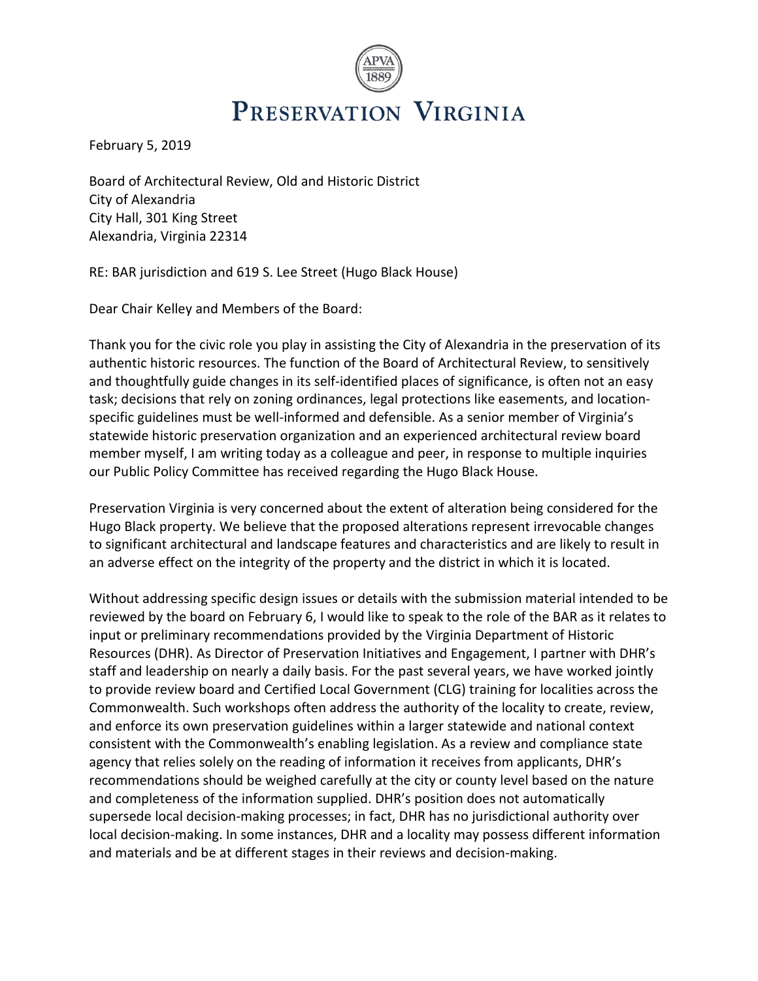

February 5, 2019

Board of Architectural Review, Old and Historic District City of Alexandria City Hall, 301 King Street Alexandria, Virginia 22314

RE: BAR jurisdiction and 619 S. Lee Street (Hugo Black House)

Dear Chair Kelley and Members of the Board:

Thank you for the civic role you play in assisting the City of Alexandria in the preservation of its authentic historic resources. The function of the Board of Architectural Review, to sensitively and thoughtfully guide changes in its self-identified places of significance, is often not an easy task; decisions that rely on zoning ordinances, legal protections like easements, and locationspecific guidelines must be well-informed and defensible. As a senior member of Virginia's statewide historic preservation organization and an experienced architectural review board member myself, I am writing today as a colleague and peer, in response to multiple inquiries our Public Policy Committee has received regarding the Hugo Black House.

Preservation Virginia is very concerned about the extent of alteration being considered for the Hugo Black property. We believe that the proposed alterations represent irrevocable changes to significant architectural and landscape features and characteristics and are likely to result in an adverse effect on the integrity of the property and the district in which it is located.

Without addressing specific design issues or details with the submission material intended to be reviewed by the board on February 6, I would like to speak to the role of the BAR as it relates to input or preliminary recommendations provided by the Virginia Department of Historic Resources (DHR). As Director of Preservation Initiatives and Engagement, I partner with DHR's staff and leadership on nearly a daily basis. For the past several years, we have worked jointly to provide review board and Certified Local Government (CLG) training for localities across the Commonwealth. Such workshops often address the authority of the locality to create, review, and enforce its own preservation guidelines within a larger statewide and national context consistent with the Commonwealth's enabling legislation. As a review and compliance state agency that relies solely on the reading of information it receives from applicants, DHR's recommendations should be weighed carefully at the city or county level based on the nature and completeness of the information supplied. DHR's position does not automatically supersede local decision-making processes; in fact, DHR has no jurisdictional authority over local decision-making. In some instances, DHR and a locality may possess different information and materials and be at different stages in their reviews and decision-making.